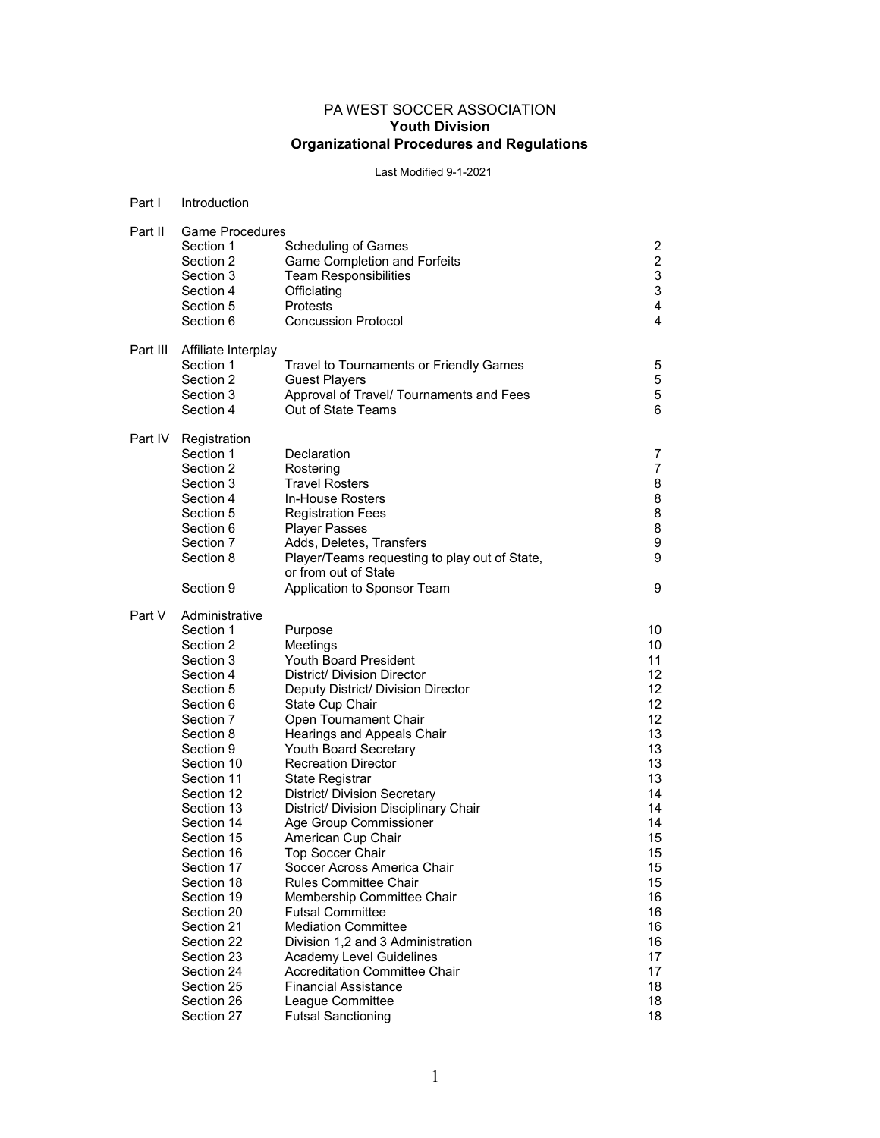## PA WEST SOCCER ASSOCIATION Youth Division Organizational Procedures and Regulations

# Last Modified 9-1-2021

| Part I   | Introduction                                                                                                                                                                                                                                                                                                                                                        |                                                                                                                                                                                                                                                                                                                                                                                                                                                                                                                                                                                                                                                                                                                                       |                                                                                                                                                    |  |
|----------|---------------------------------------------------------------------------------------------------------------------------------------------------------------------------------------------------------------------------------------------------------------------------------------------------------------------------------------------------------------------|---------------------------------------------------------------------------------------------------------------------------------------------------------------------------------------------------------------------------------------------------------------------------------------------------------------------------------------------------------------------------------------------------------------------------------------------------------------------------------------------------------------------------------------------------------------------------------------------------------------------------------------------------------------------------------------------------------------------------------------|----------------------------------------------------------------------------------------------------------------------------------------------------|--|
| Part II  | <b>Game Procedures</b><br>Section 1<br>Section 2<br>Section 3<br>Section 4<br>Section 5<br>Section 6                                                                                                                                                                                                                                                                | <b>Scheduling of Games</b><br><b>Game Completion and Forfeits</b><br><b>Team Responsibilities</b><br>Officiating<br>Protests<br><b>Concussion Protocol</b>                                                                                                                                                                                                                                                                                                                                                                                                                                                                                                                                                                            | $\overline{\mathbf{c}}$<br>$\boldsymbol{2}$<br>3<br>3<br>4<br>4                                                                                    |  |
| Part III | Affiliate Interplay<br>Section 1<br>Section 2<br>Section 3<br>Section 4                                                                                                                                                                                                                                                                                             | Travel to Tournaments or Friendly Games<br><b>Guest Players</b><br>Approval of Travel/ Tournaments and Fees<br>Out of State Teams                                                                                                                                                                                                                                                                                                                                                                                                                                                                                                                                                                                                     | 5<br>5<br>5<br>6                                                                                                                                   |  |
| Part IV  | Registration<br>Section 1<br>Section 2<br>Section 3<br>Section 4<br>Section 5<br>Section 6<br>Section 7<br>Section 8<br>Section 9                                                                                                                                                                                                                                   | Declaration<br>Rostering<br><b>Travel Rosters</b><br>In-House Rosters<br><b>Registration Fees</b><br><b>Player Passes</b><br>Adds, Deletes, Transfers<br>Player/Teams requesting to play out of State,<br>or from out of State<br>Application to Sponsor Team                                                                                                                                                                                                                                                                                                                                                                                                                                                                         | 7<br>$\overline{7}$<br>8<br>8<br>8<br>8<br>9<br>9<br>9                                                                                             |  |
| Part V   | Administrative<br>Section 1<br>Section 2<br>Section 3<br>Section 4<br>Section 5<br>Section 6<br>Section 7<br>Section 8<br>Section 9<br>Section 10<br>Section 11<br>Section 12<br>Section 13<br>Section 14<br>Section 15<br>Section 16<br>Section 17<br>Section 18<br>Section 19<br>Section 20<br>Section 21<br>Section 22<br>Section 23<br>Section 24<br>Section 25 | Purpose<br>Meetings<br><b>Youth Board President</b><br>District/ Division Director<br>Deputy District/ Division Director<br>State Cup Chair<br>Open Tournament Chair<br>Hearings and Appeals Chair<br><b>Youth Board Secretary</b><br><b>Recreation Director</b><br>State Registrar<br>District/ Division Secretary<br>District/ Division Disciplinary Chair<br>Age Group Commissioner<br>American Cup Chair<br><b>Top Soccer Chair</b><br>Soccer Across America Chair<br><b>Rules Committee Chair</b><br>Membership Committee Chair<br><b>Futsal Committee</b><br><b>Mediation Committee</b><br>Division 1,2 and 3 Administration<br>Academy Level Guidelines<br><b>Accreditation Committee Chair</b><br><b>Financial Assistance</b> | 10<br>10<br>11<br>12<br>12<br>12<br>12<br>13<br>13<br>13<br>13<br>14<br>14<br>14<br>15<br>15<br>15<br>15<br>16<br>16<br>16<br>16<br>17<br>17<br>18 |  |
|          | Section 26<br>Section 27                                                                                                                                                                                                                                                                                                                                            | League Committee<br><b>Futsal Sanctioning</b>                                                                                                                                                                                                                                                                                                                                                                                                                                                                                                                                                                                                                                                                                         | 18<br>18                                                                                                                                           |  |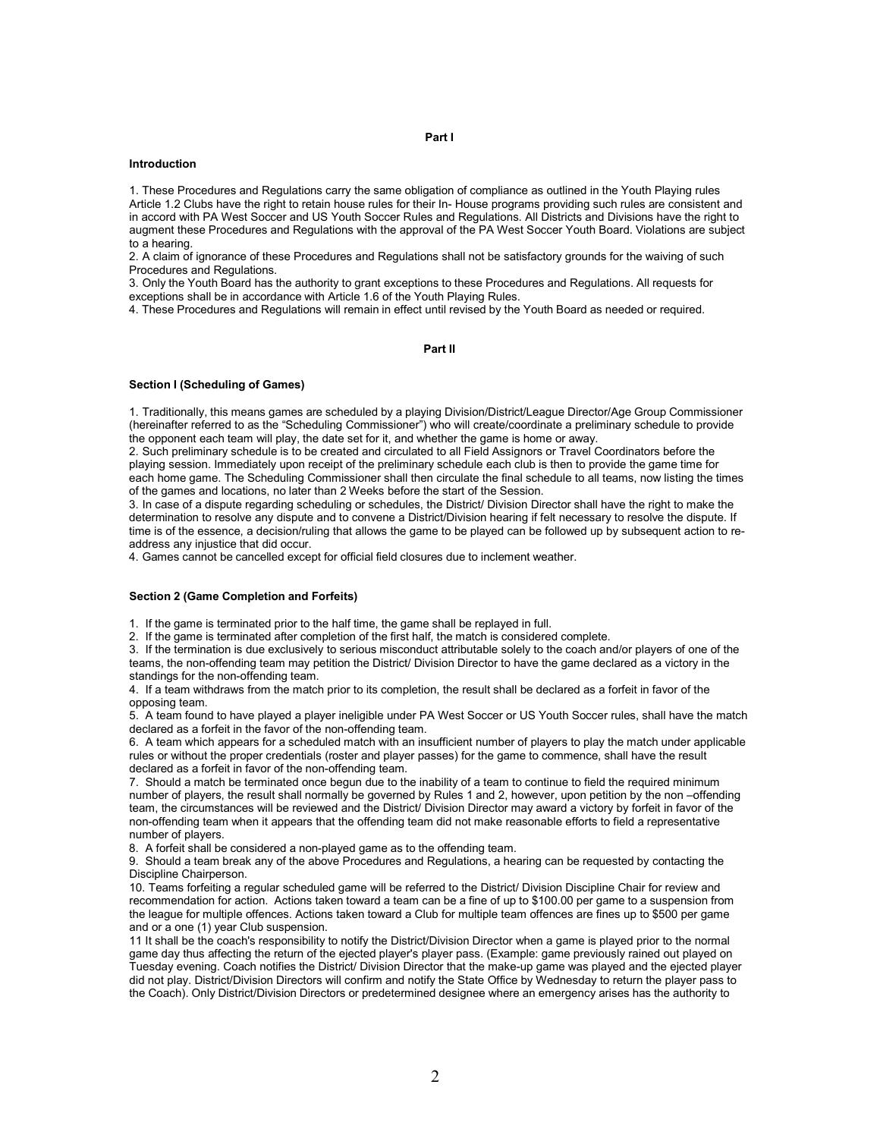## Part I

#### Introduction

1. These Procedures and Regulations carry the same obligation of compliance as outlined in the Youth Playing rules Article 1.2 Clubs have the right to retain house rules for their In- House programs providing such rules are consistent and in accord with PA West Soccer and US Youth Soccer Rules and Regulations. All Districts and Divisions have the right to augment these Procedures and Regulations with the approval of the PA West Soccer Youth Board. Violations are subject to a hearing.

2. A claim of ignorance of these Procedures and Regulations shall not be satisfactory grounds for the waiving of such Procedures and Regulations.

3. Only the Youth Board has the authority to grant exceptions to these Procedures and Regulations. All requests for exceptions shall be in accordance with Article 1.6 of the Youth Playing Rules.

4. These Procedures and Regulations will remain in effect until revised by the Youth Board as needed or required.

## Part II

#### Section I (Scheduling of Games)

1. Traditionally, this means games are scheduled by a playing Division/District/League Director/Age Group Commissioner (hereinafter referred to as the "Scheduling Commissioner") who will create/coordinate a preliminary schedule to provide the opponent each team will play, the date set for it, and whether the game is home or away.

2. Such preliminary schedule is to be created and circulated to all Field Assignors or Travel Coordinators before the playing session. Immediately upon receipt of the preliminary schedule each club is then to provide the game time for each home game. The Scheduling Commissioner shall then circulate the final schedule to all teams, now listing the times of the games and locations, no later than 2 Weeks before the start of the Session.

3. In case of a dispute regarding scheduling or schedules, the District/ Division Director shall have the right to make the determination to resolve any dispute and to convene a District/Division hearing if felt necessary to resolve the dispute. If time is of the essence, a decision/ruling that allows the game to be played can be followed up by subsequent action to readdress any injustice that did occur.

4. Games cannot be cancelled except for official field closures due to inclement weather.

#### Section 2 (Game Completion and Forfeits)

1. If the game is terminated prior to the half time, the game shall be replayed in full.

2. If the game is terminated after completion of the first half, the match is considered complete.

3. If the termination is due exclusively to serious misconduct attributable solely to the coach and/or players of one of the teams, the non-offending team may petition the District/ Division Director to have the game declared as a victory in the standings for the non-offending team.

4. If a team withdraws from the match prior to its completion, the result shall be declared as a forfeit in favor of the opposing team.

5. A team found to have played a player ineligible under PA West Soccer or US Youth Soccer rules, shall have the match declared as a forfeit in the favor of the non-offending team.

6. A team which appears for a scheduled match with an insufficient number of players to play the match under applicable rules or without the proper credentials (roster and player passes) for the game to commence, shall have the result declared as a forfeit in favor of the non-offending team.

7. Should a match be terminated once begun due to the inability of a team to continue to field the required minimum number of players, the result shall normally be governed by Rules 1 and 2, however, upon petition by the non –offending team, the circumstances will be reviewed and the District/ Division Director may award a victory by forfeit in favor of the non-offending team when it appears that the offending team did not make reasonable efforts to field a representative number of players.

8. A forfeit shall be considered a non-played game as to the offending team.

9. Should a team break any of the above Procedures and Regulations, a hearing can be requested by contacting the Discipline Chairperson.

10. Teams forfeiting a regular scheduled game will be referred to the District/ Division Discipline Chair for review and recommendation for action. Actions taken toward a team can be a fine of up to \$100.00 per game to a suspension from the league for multiple offences. Actions taken toward a Club for multiple team offences are fines up to \$500 per game and or a one (1) year Club suspension.

11 It shall be the coach's responsibility to notify the District/Division Director when a game is played prior to the normal game day thus affecting the return of the ejected player's player pass. (Example: game previously rained out played on Tuesday evening. Coach notifies the District/ Division Director that the make-up game was played and the ejected player did not play. District/Division Directors will confirm and notify the State Office by Wednesday to return the player pass to the Coach). Only District/Division Directors or predetermined designee where an emergency arises has the authority to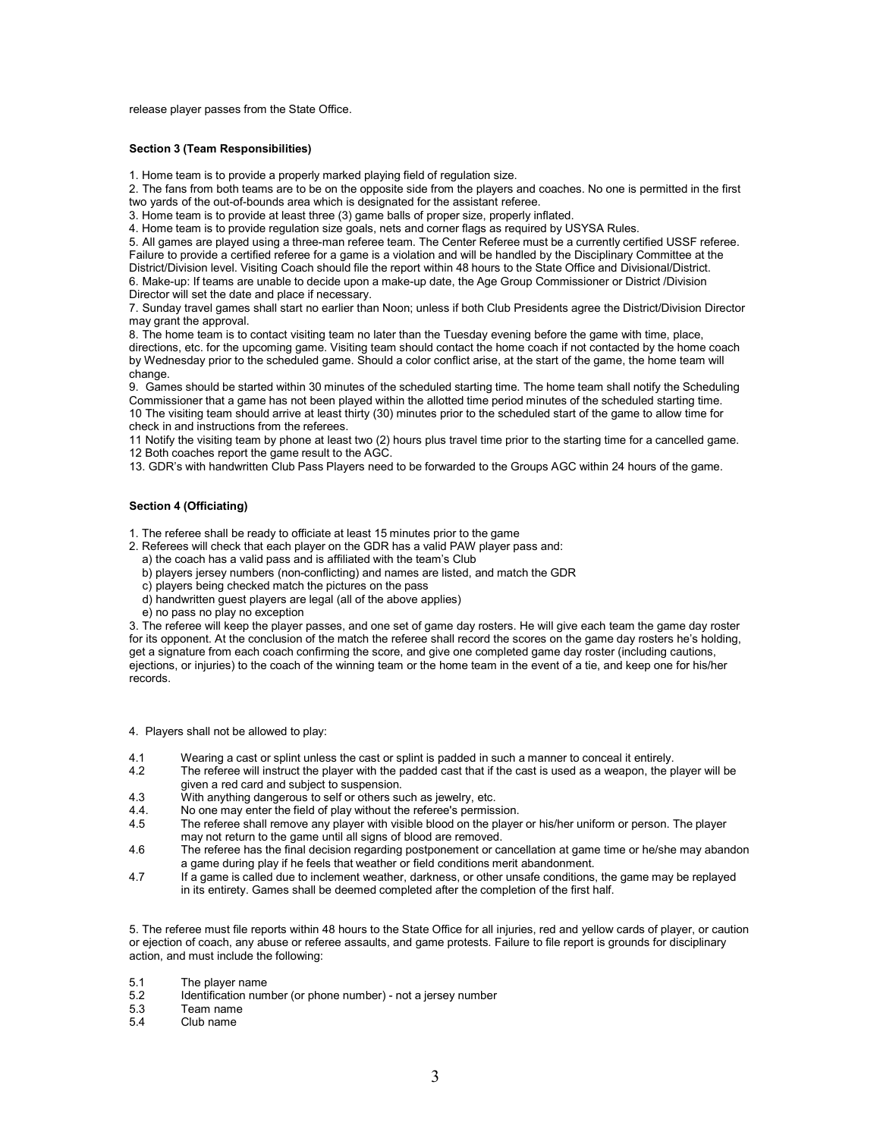release player passes from the State Office.

#### Section 3 (Team Responsibilities)

1. Home team is to provide a properly marked playing field of regulation size.

2. The fans from both teams are to be on the opposite side from the players and coaches. No one is permitted in the first two yards of the out-of-bounds area which is designated for the assistant referee.

3. Home team is to provide at least three (3) game balls of proper size, properly inflated.

4. Home team is to provide regulation size goals, nets and corner flags as required by USYSA Rules.

5. All games are played using a three-man referee team. The Center Referee must be a currently certified USSF referee. Failure to provide a certified referee for a game is a violation and will be handled by the Disciplinary Committee at the District/Division level. Visiting Coach should file the report within 48 hours to the State Office and Divisional/District. 6. Make-up: If teams are unable to decide upon a make-up date, the Age Group Commissioner or District /Division Director will set the date and place if necessary.

7. Sunday travel games shall start no earlier than Noon; unless if both Club Presidents agree the District/Division Director may grant the approval.

8. The home team is to contact visiting team no later than the Tuesday evening before the game with time, place, directions, etc. for the upcoming game. Visiting team should contact the home coach if not contacted by the home coach by Wednesday prior to the scheduled game. Should a color conflict arise, at the start of the game, the home team will change.

9. Games should be started within 30 minutes of the scheduled starting time. The home team shall notify the Scheduling Commissioner that a game has not been played within the allotted time period minutes of the scheduled starting time. 10 The visiting team should arrive at least thirty (30) minutes prior to the scheduled start of the game to allow time for check in and instructions from the referees.

11 Notify the visiting team by phone at least two (2) hours plus travel time prior to the starting time for a cancelled game. 12 Both coaches report the game result to the AGC.

13. GDR's with handwritten Club Pass Players need to be forwarded to the Groups AGC within 24 hours of the game.

## Section 4 (Officiating)

1. The referee shall be ready to officiate at least 15 minutes prior to the game

- 2. Referees will check that each player on the GDR has a valid PAW player pass and:
- a) the coach has a valid pass and is affiliated with the team's Club
- b) players jersey numbers (non-conflicting) and names are listed, and match the GDR
- c) players being checked match the pictures on the pass
- d) handwritten guest players are legal (all of the above applies)
- e) no pass no play no exception

3. The referee will keep the player passes, and one set of game day rosters. He will give each team the game day roster for its opponent. At the conclusion of the match the referee shall record the scores on the game day rosters he's holding, get a signature from each coach confirming the score, and give one completed game day roster (including cautions, ejections, or injuries) to the coach of the winning team or the home team in the event of a tie, and keep one for his/her records.

4. Players shall not be allowed to play:

- 4.1 Wearing a cast or splint unless the cast or splint is padded in such a manner to conceal it entirely.<br>4.2 The referee will instruct the player with the padded cast that if the cast is used as a weapon the p
- The referee will instruct the player with the padded cast that if the cast is used as a weapon, the player will be given a red card and subject to suspension.
- 4.3 With anything dangerous to self or others such as jewelry, etc.
- 4.4. No one may enter the field of play without the referee's permission.<br>4.5 The referee shall remove any player with visible blood on the player
- The referee shall remove any player with visible blood on the player or his/her uniform or person. The player may not return to the game until all signs of blood are removed.
- 4.6 The referee has the final decision regarding postponement or cancellation at game time or he/she may abandon a game during play if he feels that weather or field conditions merit abandonment.
- 4.7 If a game is called due to inclement weather, darkness, or other unsafe conditions, the game may be replayed in its entirety. Games shall be deemed completed after the completion of the first half.

5. The referee must file reports within 48 hours to the State Office for all injuries, red and yellow cards of player, or caution or ejection of coach, any abuse or referee assaults, and game protests. Failure to file report is grounds for disciplinary action, and must include the following:

- 5.1 The player name<br>5.2 Identification num
- Identification number (or phone number) not a jersey number
- 5.3 Team name
- Club name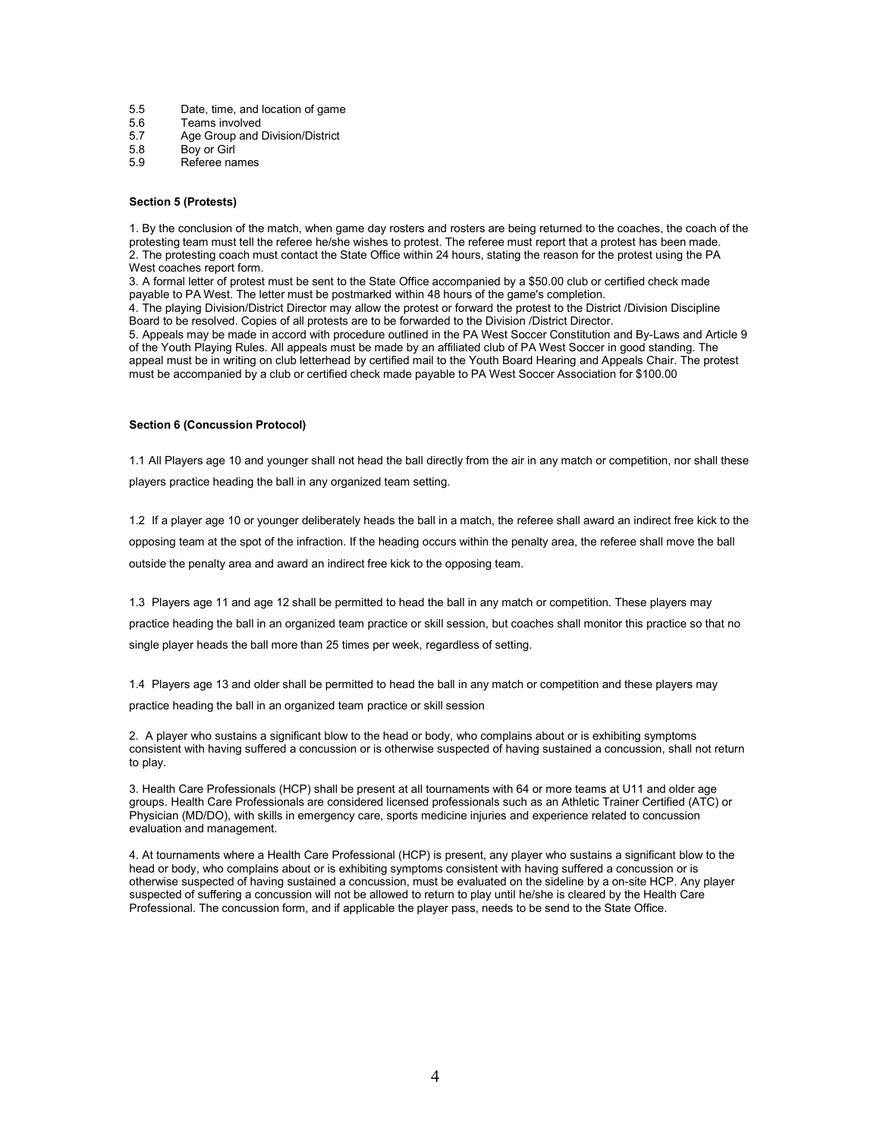- 5.5 Date, time, and location of game
- 5.6 Teams involved
- 5.7 Age Group and Division/District<br>5.8 Bov or Girl
- Boy or Girl
- 5.9 Referee names

#### Section 5 (Protests)

1. By the conclusion of the match, when game day rosters and rosters are being returned to the coaches, the coach of the protesting team must tell the referee he/she wishes to protest. The referee must report that a protest has been made. 2. The protesting coach must contact the State Office within 24 hours, stating the reason for the protest using the PA West coaches report form.

3. A formal letter of protest must be sent to the State Office accompanied by a \$50.00 club or certified check made payable to PA West. The letter must be postmarked within 48 hours of the game's completion.

4. The playing Division/District Director may allow the protest or forward the protest to the District /Division Discipline Board to be resolved. Copies of all protests are to be forwarded to the Division /District Director.

5. Appeals may be made in accord with procedure outlined in the PA West Soccer Constitution and By-Laws and Article 9 of the Youth Playing Rules. All appeals must be made by an affiliated club of PA West Soccer in good standing. The appeal must be in writing on club letterhead by certified mail to the Youth Board Hearing and Appeals Chair. The protest must be accompanied by a club or certified check made payable to PA West Soccer Association for \$100.00

#### Section 6 (Concussion Protocol)

1.1 All Players age 10 and younger shall not head the ball directly from the air in any match or competition, nor shall these players practice heading the ball in any organized team setting.

1.2 If a player age 10 or younger deliberately heads the ball in a match, the referee shall award an indirect free kick to the opposing team at the spot of the infraction. If the heading occurs within the penalty area, the referee shall move the ball outside the penalty area and award an indirect free kick to the opposing team.

1.3 Players age 11 and age 12 shall be permitted to head the ball in any match or competition. These players may practice heading the ball in an organized team practice or skill session, but coaches shall monitor this practice so that no single player heads the ball more than 25 times per week, regardless of setting.

1.4 Players age 13 and older shall be permitted to head the ball in any match or competition and these players may practice heading the ball in an organized team practice or skill session

2. A player who sustains a significant blow to the head or body, who complains about or is exhibiting symptoms consistent with having suffered a concussion or is otherwise suspected of having sustained a concussion, shall not return to play.

3. Health Care Professionals (HCP) shall be present at all tournaments with 64 or more teams at U11 and older age groups. Health Care Professionals are considered licensed professionals such as an Athletic Trainer Certified (ATC) or Physician (MD/DO), with skills in emergency care, sports medicine injuries and experience related to concussion evaluation and management.

4. At tournaments where a Health Care Professional (HCP) is present, any player who sustains a significant blow to the head or body, who complains about or is exhibiting symptoms consistent with having suffered a concussion or is otherwise suspected of having sustained a concussion, must be evaluated on the sideline by a on-site HCP. Any player suspected of suffering a concussion will not be allowed to return to play until he/she is cleared by the Health Care Professional. The concussion form, and if applicable the player pass, needs to be send to the State Office.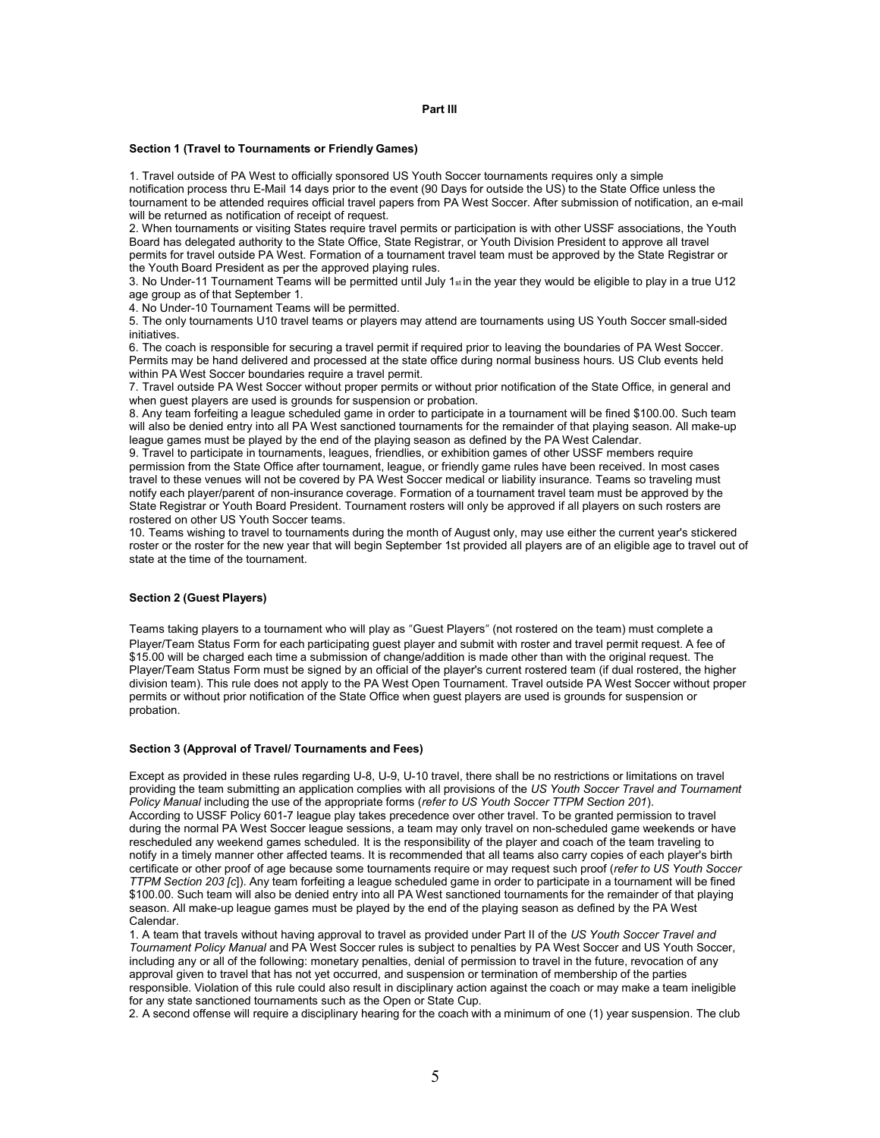#### Part III

#### Section 1 (Travel to Tournaments or Friendly Games)

1. Travel outside of PA West to officially sponsored US Youth Soccer tournaments requires only a simple notification process thru E-Mail 14 days prior to the event (90 Days for outside the US) to the State Office unless the tournament to be attended requires official travel papers from PA West Soccer. After submission of notification, an e-mail will be returned as notification of receipt of request.

2. When tournaments or visiting States require travel permits or participation is with other USSF associations, the Youth Board has delegated authority to the State Office, State Registrar, or Youth Division President to approve all travel permits for travel outside PA West. Formation of a tournament travel team must be approved by the State Registrar or the Youth Board President as per the approved playing rules.

3. No Under-11 Tournament Teams will be permitted until July  $1<sub>st</sub>$  in the year they would be eligible to play in a true U12 age group as of that September 1.

4. No Under-10 Tournament Teams will be permitted.

5. The only tournaments U10 travel teams or players may attend are tournaments using US Youth Soccer small-sided initiatives.

6. The coach is responsible for securing a travel permit if required prior to leaving the boundaries of PA West Soccer. Permits may be hand delivered and processed at the state office during normal business hours. US Club events held within PA West Soccer boundaries require a travel permit.

7. Travel outside PA West Soccer without proper permits or without prior notification of the State Office, in general and when guest players are used is grounds for suspension or probation.

8. Any team forfeiting a league scheduled game in order to participate in a tournament will be fined \$100.00. Such team will also be denied entry into all PA West sanctioned tournaments for the remainder of that playing season. All make-up league games must be played by the end of the playing season as defined by the PA West Calendar.

9. Travel to participate in tournaments, leagues, friendlies, or exhibition games of other USSF members require permission from the State Office after tournament, league, or friendly game rules have been received. In most cases travel to these venues will not be covered by PA West Soccer medical or liability insurance. Teams so traveling must notify each player/parent of non-insurance coverage. Formation of a tournament travel team must be approved by the State Registrar or Youth Board President. Tournament rosters will only be approved if all players on such rosters are rostered on other US Youth Soccer teams.

10. Teams wishing to travel to tournaments during the month of August only, may use either the current year's stickered roster or the roster for the new year that will begin September 1st provided all players are of an eligible age to travel out of state at the time of the tournament.

#### Section 2 (Guest Players)

Teams taking players to a tournament who will play as "Guest Players" (not rostered on the team) must complete a Player/Team Status Form for each participating guest player and submit with roster and travel permit request. A fee of \$15.00 will be charged each time a submission of change/addition is made other than with the original request. The Player/Team Status Form must be signed by an official of the player's current rostered team (if dual rostered, the higher division team). This rule does not apply to the PA West Open Tournament. Travel outside PA West Soccer without proper permits or without prior notification of the State Office when guest players are used is grounds for suspension or probation.

#### Section 3 (Approval of Travel/ Tournaments and Fees)

Except as provided in these rules regarding U-8, U-9, U-10 travel, there shall be no restrictions or limitations on travel providing the team submitting an application complies with all provisions of the US Youth Soccer Travel and Tournament Policy Manual including the use of the appropriate forms (refer to US Youth Soccer TTPM Section 201). According to USSF Policy 601-7 league play takes precedence over other travel. To be granted permission to travel during the normal PA West Soccer league sessions, a team may only travel on non-scheduled game weekends or have rescheduled any weekend games scheduled. It is the responsibility of the player and coach of the team traveling to notify in a timely manner other affected teams. It is recommended that all teams also carry copies of each player's birth certificate or other proof of age because some tournaments require or may request such proof (refer to US Youth Soccer TTPM Section 203 [c]). Any team forfeiting a league scheduled game in order to participate in a tournament will be fined \$100.00. Such team will also be denied entry into all PA West sanctioned tournaments for the remainder of that playing season. All make-up league games must be played by the end of the playing season as defined by the PA West Calendar.

1. A team that travels without having approval to travel as provided under Part II of the US Youth Soccer Travel and Tournament Policy Manual and PA West Soccer rules is subject to penalties by PA West Soccer and US Youth Soccer, including any or all of the following: monetary penalties, denial of permission to travel in the future, revocation of any approval given to travel that has not yet occurred, and suspension or termination of membership of the parties responsible. Violation of this rule could also result in disciplinary action against the coach or may make a team ineligible for any state sanctioned tournaments such as the Open or State Cup.

2. A second offense will require a disciplinary hearing for the coach with a minimum of one (1) year suspension. The club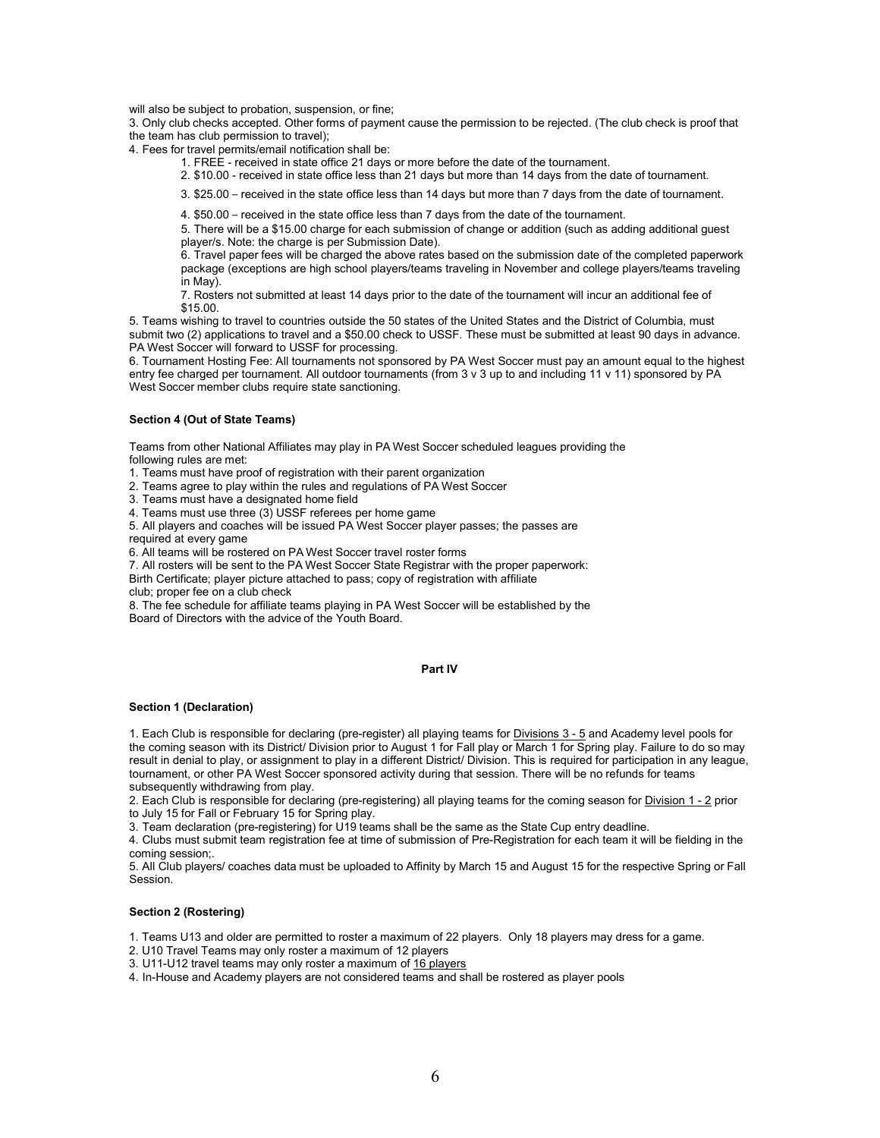will also be subject to probation, suspension, or fine;

3. Only club checks accepted. Other forms of payment cause the permission to be rejected. (The club check is proof that the team has club permission to travel);

4. Fees for travel permits/email notification shall be:

1. FREE - received in state office 21 days or more before the date of the tournament.

2. \$10.00 - received in state office less than 21 days but more than 14 days from the date of tournament.

3. \$25.00 – received in the state office less than 14 days but more than 7 days from the date of tournament.

4. \$50.00 – received in the state office less than 7 days from the date of the tournament.

5. There will be a \$15.00 charge for each submission of change or addition (such as adding additional guest player/s. Note: the charge is per Submission Date).

6. Travel paper fees will be charged the above rates based on the submission date of the completed paperwork package (exceptions are high school players/teams traveling in November and college players/teams traveling in May).

7. Rosters not submitted at least 14 days prior to the date of the tournament will incur an additional fee of \$15.00.

5. Teams wishing to travel to countries outside the 50 states of the United States and the District of Columbia, must submit two (2) applications to travel and a \$50.00 check to USSF. These must be submitted at least 90 days in advance. PA West Soccer will forward to USSF for processing.

6. Tournament Hosting Fee: All tournaments not sponsored by PA West Soccer must pay an amount equal to the highest entry fee charged per tournament. All outdoor tournaments (from 3 v 3 up to and including 11 v 11) sponsored by PA West Soccer member clubs require state sanctioning.

## Section 4 (Out of State Teams)

Teams from other National Affiliates may play in PA West Soccer scheduled leagues providing the following rules are met:

1. Teams must have proof of registration with their parent organization

2. Teams agree to play within the rules and regulations of PA West Soccer

3. Teams must have a designated home field

4. Teams must use three (3) USSF referees per home game

5. All players and coaches will be issued PA West Soccer player passes; the passes are required at every game

6. All teams will be rostered on PA West Soccer travel roster forms

7. All rosters will be sent to the PA West Soccer State Registrar with the proper paperwork:

Birth Certificate; player picture attached to pass; copy of registration with affiliate

club; proper fee on a club check

8. The fee schedule for affiliate teams playing in PA West Soccer will be established by the Board of Directors with the advice of the Youth Board.

#### Part IV

#### Section 1 (Declaration)

1. Each Club is responsible for declaring (pre-register) all playing teams for Divisions 3 - 5 and Academy level pools for the coming season with its District/ Division prior to August 1 for Fall play or March 1 for Spring play. Failure to do so may result in denial to play, or assignment to play in a different District/ Division. This is required for participation in any league, tournament, or other PA West Soccer sponsored activity during that session. There will be no refunds for teams subsequently withdrawing from play.

2. Each Club is responsible for declaring (pre-registering) all playing teams for the coming season for Division 1 - 2 prior to July 15 for Fall or February 15 for Spring play.

3. Team declaration (pre-registering) for U19 teams shall be the same as the State Cup entry deadline.

4. Clubs must submit team registration fee at time of submission of Pre-Registration for each team it will be fielding in the coming session;.

5. All Club players/ coaches data must be uploaded to Affinity by March 15 and August 15 for the respective Spring or Fall Session.

#### Section 2 (Rostering)

1. Teams U13 and older are permitted to roster a maximum of 22 players. Only 18 players may dress for a game.

2. U10 Travel Teams may only roster a maximum of 12 players

3. U11-U12 travel teams may only roster a maximum of 16 players

4. In-House and Academy players are not considered teams and shall be rostered as player pools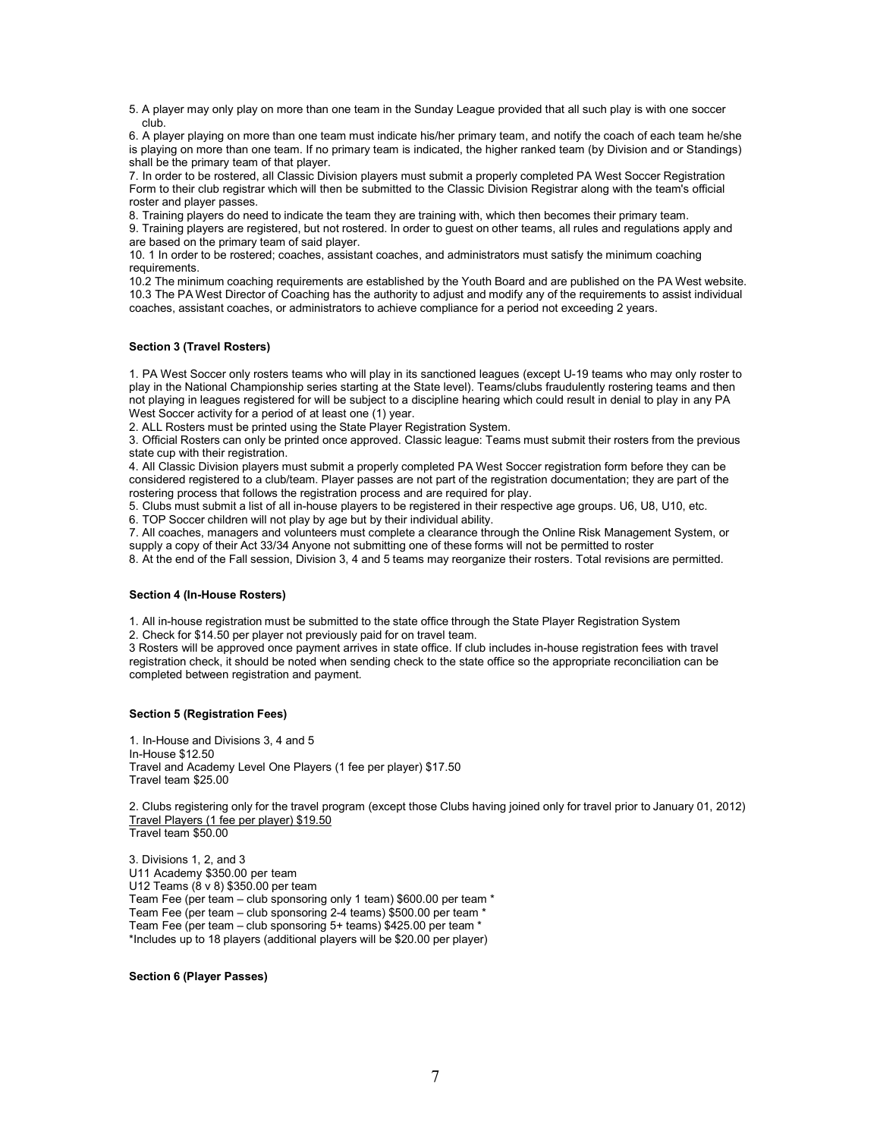5. A player may only play on more than one team in the Sunday League provided that all such play is with one soccer club.

6. A player playing on more than one team must indicate his/her primary team, and notify the coach of each team he/she is playing on more than one team. If no primary team is indicated, the higher ranked team (by Division and or Standings) shall be the primary team of that player.

7. In order to be rostered, all Classic Division players must submit a properly completed PA West Soccer Registration Form to their club registrar which will then be submitted to the Classic Division Registrar along with the team's official roster and player passes.

8. Training players do need to indicate the team they are training with, which then becomes their primary team.

9. Training players are registered, but not rostered. In order to guest on other teams, all rules and regulations apply and are based on the primary team of said player.

10. 1 In order to be rostered; coaches, assistant coaches, and administrators must satisfy the minimum coaching requirements.

10.2 The minimum coaching requirements are established by the Youth Board and are published on the PA West website. 10.3 The PA West Director of Coaching has the authority to adjust and modify any of the requirements to assist individual coaches, assistant coaches, or administrators to achieve compliance for a period not exceeding 2 years.

## Section 3 (Travel Rosters)

1. PA West Soccer only rosters teams who will play in its sanctioned leagues (except U-19 teams who may only roster to play in the National Championship series starting at the State level). Teams/clubs fraudulently rostering teams and then not playing in leagues registered for will be subject to a discipline hearing which could result in denial to play in any PA West Soccer activity for a period of at least one (1) year.

2. ALL Rosters must be printed using the State Player Registration System.

3. Official Rosters can only be printed once approved. Classic league: Teams must submit their rosters from the previous state cup with their registration.

4. All Classic Division players must submit a properly completed PA West Soccer registration form before they can be considered registered to a club/team. Player passes are not part of the registration documentation; they are part of the rostering process that follows the registration process and are required for play.

5. Clubs must submit a list of all in-house players to be registered in their respective age groups. U6, U8, U10, etc. 6. TOP Soccer children will not play by age but by their individual ability.

7. All coaches, managers and volunteers must complete a clearance through the Online Risk Management System, or supply a copy of their Act 33/34 Anyone not submitting one of these forms will not be permitted to roster

8. At the end of the Fall session, Division 3, 4 and 5 teams may reorganize their rosters. Total revisions are permitted.

## Section 4 (In-House Rosters)

1. All in-house registration must be submitted to the state office through the State Player Registration System

2. Check for \$14.50 per player not previously paid for on travel team.

3 Rosters will be approved once payment arrives in state office. If club includes in-house registration fees with travel registration check, it should be noted when sending check to the state office so the appropriate reconciliation can be completed between registration and payment.

## Section 5 (Registration Fees)

1. In-House and Divisions 3, 4 and 5 In-House \$12.50 Travel and Academy Level One Players (1 fee per player) \$17.50 Travel team \$25.00

2. Clubs registering only for the travel program (except those Clubs having joined only for travel prior to January 01, 2012) Travel Players (1 fee per player) \$19.50 Travel team \$50.00

3. Divisions 1, 2, and 3 U11 Academy \$350.00 per team U12 Teams (8 v 8) \$350.00 per team Team Fee (per team – club sponsoring only 1 team) \$600.00 per team \* Team Fee (per team – club sponsoring 2-4 teams) \$500.00 per team \* Team Fee (per team – club sponsoring 5+ teams) \$425.00 per team \* \*Includes up to 18 players (additional players will be \$20.00 per player)

## Section 6 (Player Passes)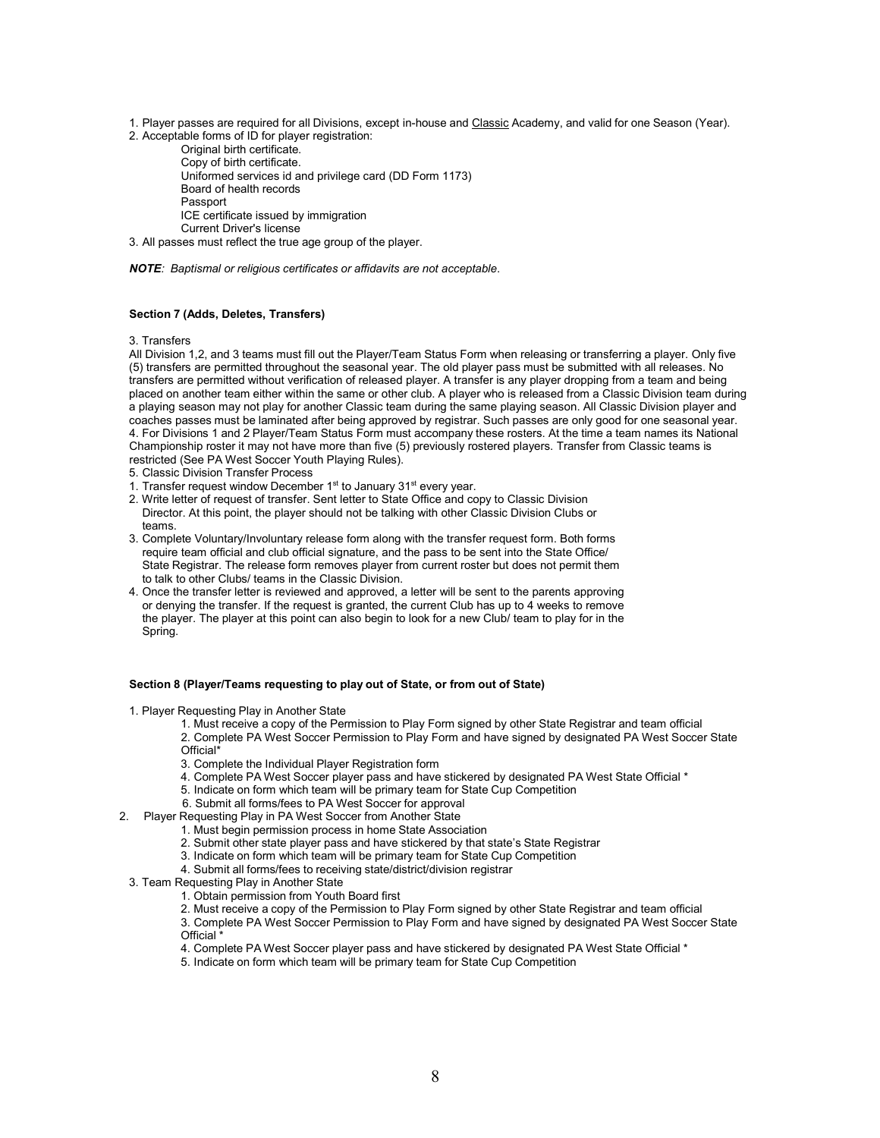1. Player passes are required for all Divisions, except in-house and Classic Academy, and valid for one Season (Year).

2. Acceptable forms of ID for player registration:

Original birth certificate. Copy of birth certificate. Uniformed services id and privilege card (DD Form 1173) Board of health records Passport ICE certificate issued by immigration Current Driver's license

3. All passes must reflect the true age group of the player.

NOTE: Baptismal or religious certificates or affidavits are not acceptable.

#### Section 7 (Adds, Deletes, Transfers)

3. Transfers

All Division 1,2, and 3 teams must fill out the Player/Team Status Form when releasing or transferring a player. Only five (5) transfers are permitted throughout the seasonal year. The old player pass must be submitted with all releases. No transfers are permitted without verification of released player. A transfer is any player dropping from a team and being placed on another team either within the same or other club. A player who is released from a Classic Division team during a playing season may not play for another Classic team during the same playing season. All Classic Division player and coaches passes must be laminated after being approved by registrar. Such passes are only good for one seasonal year. 4. For Divisions 1 and 2 Player/Team Status Form must accompany these rosters. At the time a team names its National Championship roster it may not have more than five (5) previously rostered players. Transfer from Classic teams is restricted (See PA West Soccer Youth Playing Rules).

- 5. Classic Division Transfer Process
- 1. Transfer request window December  $1<sup>st</sup>$  to January  $31<sup>st</sup>$  every year.
- 2. Write letter of request of transfer. Sent letter to State Office and copy to Classic Division Director. At this point, the player should not be talking with other Classic Division Clubs or teams.
- 3. Complete Voluntary/Involuntary release form along with the transfer request form. Both forms require team official and club official signature, and the pass to be sent into the State Office/ State Registrar. The release form removes player from current roster but does not permit them to talk to other Clubs/ teams in the Classic Division.
- 4. Once the transfer letter is reviewed and approved, a letter will be sent to the parents approving or denying the transfer. If the request is granted, the current Club has up to 4 weeks to remove the player. The player at this point can also begin to look for a new Club/ team to play for in the Spring.

#### Section 8 (Player/Teams requesting to play out of State, or from out of State)

- 1. Player Requesting Play in Another State
	- 1. Must receive a copy of the Permission to Play Form signed by other State Registrar and team official 2. Complete PA West Soccer Permission to Play Form and have signed by designated PA West Soccer State Official\*
	- 3. Complete the Individual Player Registration form
	- 4. Complete PA West Soccer player pass and have stickered by designated PA West State Official \*
	- 5. Indicate on form which team will be primary team for State Cup Competition
	- 6. Submit all forms/fees to PA West Soccer for approval
- 2. Player Requesting Play in PA West Soccer from Another State
	- 1. Must begin permission process in home State Association
	- 2. Submit other state player pass and have stickered by that state's State Registrar
	- 3. Indicate on form which team will be primary team for State Cup Competition
	- 4. Submit all forms/fees to receiving state/district/division registrar
- 3. Team Requesting Play in Another State
	- 1. Obtain permission from Youth Board first
		- 2. Must receive a copy of the Permission to Play Form signed by other State Registrar and team official

3. Complete PA West Soccer Permission to Play Form and have signed by designated PA West Soccer State Official \*

- 4. Complete PA West Soccer player pass and have stickered by designated PA West State Official \*
- 5. Indicate on form which team will be primary team for State Cup Competition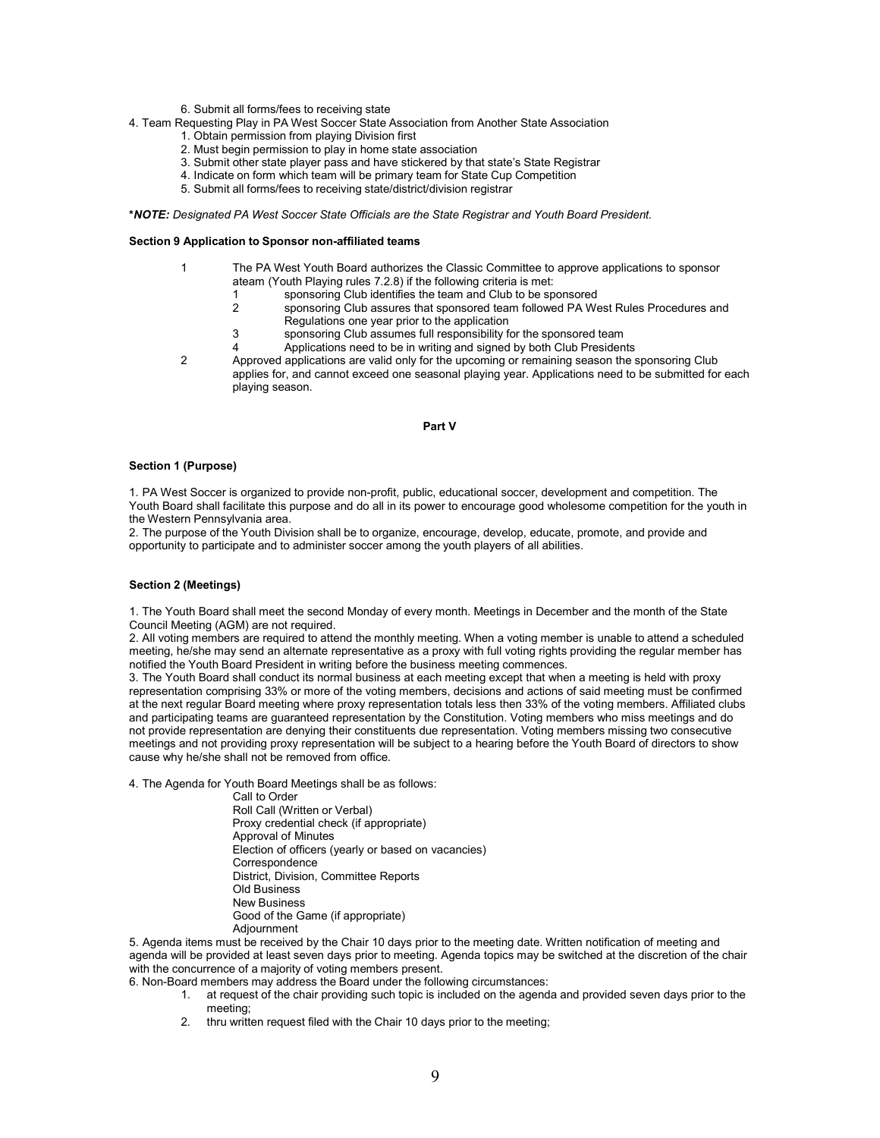- 6. Submit all forms/fees to receiving state
- 4. Team Requesting Play in PA West Soccer State Association from Another State Association
	- 1. Obtain permission from playing Division first
	- 2. Must begin permission to play in home state association
	- 3. Submit other state player pass and have stickered by that state's State Registrar
	- 4. Indicate on form which team will be primary team for State Cup Competition
	- 5. Submit all forms/fees to receiving state/district/division registrar

\*NOTE: Designated PA West Soccer State Officials are the State Registrar and Youth Board President.

#### Section 9 Application to Sponsor non-affiliated teams

- 1 The PA West Youth Board authorizes the Classic Committee to approve applications to sponsor ateam (Youth Playing rules 7.2.8) if the following criteria is met:
	- 1 sponsoring Club identifies the team and Club to be sponsored<br>2 sponsoring Club assures that sponsored team followed PA We
	- sponsoring Club assures that sponsored team followed PA West Rules Procedures and Regulations one year prior to the application
	- 3 sponsoring Club assumes full responsibility for the sponsored team
	- 4 Applications need to be in writing and signed by both Club Presidents
- 2 Approved applications are valid only for the upcoming or remaining season the sponsoring Club applies for, and cannot exceed one seasonal playing year. Applications need to be submitted for each playing season.

#### Part V

#### Section 1 (Purpose)

1. PA West Soccer is organized to provide non-profit, public, educational soccer, development and competition. The Youth Board shall facilitate this purpose and do all in its power to encourage good wholesome competition for the youth in the Western Pennsylvania area.

2. The purpose of the Youth Division shall be to organize, encourage, develop, educate, promote, and provide and opportunity to participate and to administer soccer among the youth players of all abilities.

## Section 2 (Meetings)

1. The Youth Board shall meet the second Monday of every month. Meetings in December and the month of the State Council Meeting (AGM) are not required.

2. All voting members are required to attend the monthly meeting. When a voting member is unable to attend a scheduled meeting, he/she may send an alternate representative as a proxy with full voting rights providing the regular member has notified the Youth Board President in writing before the business meeting commences.

3. The Youth Board shall conduct its normal business at each meeting except that when a meeting is held with proxy representation comprising 33% or more of the voting members, decisions and actions of said meeting must be confirmed at the next regular Board meeting where proxy representation totals less then 33% of the voting members. Affiliated clubs and participating teams are guaranteed representation by the Constitution. Voting members who miss meetings and do not provide representation are denying their constituents due representation. Voting members missing two consecutive meetings and not providing proxy representation will be subject to a hearing before the Youth Board of directors to show cause why he/she shall not be removed from office.

4. The Agenda for Youth Board Meetings shall be as follows:

Call to Order

Roll Call (Written or Verbal) Proxy credential check (if appropriate) Approval of Minutes Election of officers (yearly or based on vacancies) **Correspondence** District, Division, Committee Reports Old Business New Business Good of the Game (if appropriate) Adjournment

5. Agenda items must be received by the Chair 10 days prior to the meeting date. Written notification of meeting and agenda will be provided at least seven days prior to meeting. Agenda topics may be switched at the discretion of the chair with the concurrence of a majority of voting members present.

6. Non-Board members may address the Board under the following circumstances:

- 1. at request of the chair providing such topic is included on the agenda and provided seven days prior to the meeting;
- 2. thru written request filed with the Chair 10 days prior to the meeting;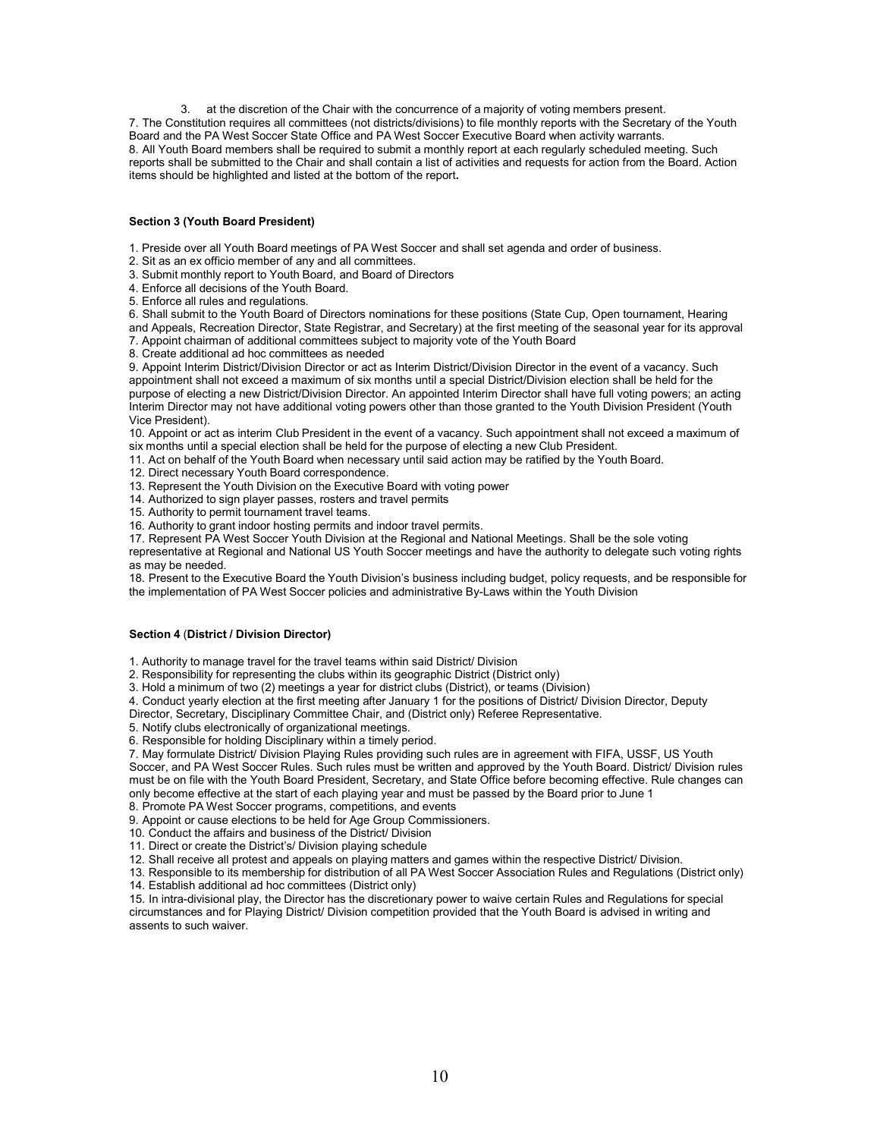3. at the discretion of the Chair with the concurrence of a majority of voting members present. 7. The Constitution requires all committees (not districts/divisions) to file monthly reports with the Secretary of the Youth Board and the PA West Soccer State Office and PA West Soccer Executive Board when activity warrants. 8. All Youth Board members shall be required to submit a monthly report at each regularly scheduled meeting. Such reports shall be submitted to the Chair and shall contain a list of activities and requests for action from the Board. Action items should be highlighted and listed at the bottom of the report.

## Section 3 (Youth Board President)

1. Preside over all Youth Board meetings of PA West Soccer and shall set agenda and order of business.

2. Sit as an ex officio member of any and all committees.

3. Submit monthly report to Youth Board, and Board of Directors

- 4. Enforce all decisions of the Youth Board.
- 5. Enforce all rules and regulations.

6. Shall submit to the Youth Board of Directors nominations for these positions (State Cup, Open tournament, Hearing and Appeals, Recreation Director, State Registrar, and Secretary) at the first meeting of the seasonal year for its approval 7. Appoint chairman of additional committees subject to majority vote of the Youth Board

8. Create additional ad hoc committees as needed

9. Appoint Interim District/Division Director or act as Interim District/Division Director in the event of a vacancy. Such appointment shall not exceed a maximum of six months until a special District/Division election shall be held for the purpose of electing a new District/Division Director. An appointed Interim Director shall have full voting powers; an acting Interim Director may not have additional voting powers other than those granted to the Youth Division President (Youth Vice President).

10. Appoint or act as interim Club President in the event of a vacancy. Such appointment shall not exceed a maximum of six months until a special election shall be held for the purpose of electing a new Club President.

11. Act on behalf of the Youth Board when necessary until said action may be ratified by the Youth Board.

12. Direct necessary Youth Board correspondence.

13. Represent the Youth Division on the Executive Board with voting power

14. Authorized to sign player passes, rosters and travel permits

15. Authority to permit tournament travel teams.

16. Authority to grant indoor hosting permits and indoor travel permits.

17. Represent PA West Soccer Youth Division at the Regional and National Meetings. Shall be the sole voting

representative at Regional and National US Youth Soccer meetings and have the authority to delegate such voting rights as may be needed.

18. Present to the Executive Board the Youth Division's business including budget, policy requests, and be responsible for the implementation of PA West Soccer policies and administrative By-Laws within the Youth Division

## Section 4 (District / Division Director)

1. Authority to manage travel for the travel teams within said District/ Division

2. Responsibility for representing the clubs within its geographic District (District only)

3. Hold a minimum of two (2) meetings a year for district clubs (District), or teams (Division)

4. Conduct yearly election at the first meeting after January 1 for the positions of District/ Division Director, Deputy

Director, Secretary, Disciplinary Committee Chair, and (District only) Referee Representative.

5. Notify clubs electronically of organizational meetings.

6. Responsible for holding Disciplinary within a timely period.

7. May formulate District/ Division Playing Rules providing such rules are in agreement with FIFA, USSF, US Youth Soccer, and PA West Soccer Rules. Such rules must be written and approved by the Youth Board. District/ Division rules must be on file with the Youth Board President, Secretary, and State Office before becoming effective. Rule changes can only become effective at the start of each playing year and must be passed by the Board prior to June 1

8. Promote PA West Soccer programs, competitions, and events

9. Appoint or cause elections to be held for Age Group Commissioners.

10. Conduct the affairs and business of the District/ Division

11. Direct or create the District's/ Division playing schedule

12. Shall receive all protest and appeals on playing matters and games within the respective District/ Division.

13. Responsible to its membership for distribution of all PA West Soccer Association Rules and Regulations (District only) 14. Establish additional ad hoc committees (District only)

15. In intra-divisional play, the Director has the discretionary power to waive certain Rules and Regulations for special circumstances and for Playing District/ Division competition provided that the Youth Board is advised in writing and assents to such waiver.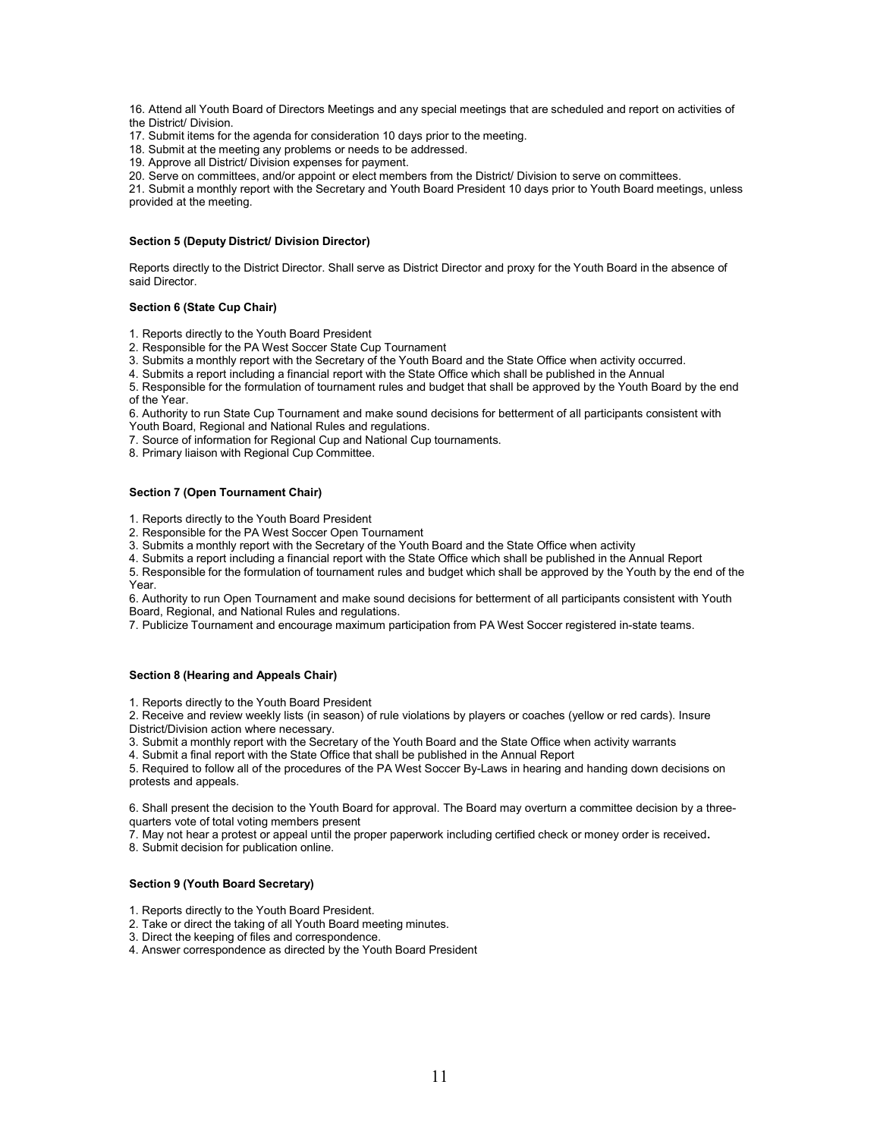16. Attend all Youth Board of Directors Meetings and any special meetings that are scheduled and report on activities of the District/ Division.

17. Submit items for the agenda for consideration 10 days prior to the meeting.

18. Submit at the meeting any problems or needs to be addressed.

19. Approve all District/ Division expenses for payment.

20. Serve on committees, and/or appoint or elect members from the District/ Division to serve on committees.

21. Submit a monthly report with the Secretary and Youth Board President 10 days prior to Youth Board meetings, unless provided at the meeting.

#### Section 5 (Deputy District/ Division Director)

Reports directly to the District Director. Shall serve as District Director and proxy for the Youth Board in the absence of said Director.

## Section 6 (State Cup Chair)

1. Reports directly to the Youth Board President

2. Responsible for the PA West Soccer State Cup Tournament

3. Submits a monthly report with the Secretary of the Youth Board and the State Office when activity occurred.

4. Submits a report including a financial report with the State Office which shall be published in the Annual

5. Responsible for the formulation of tournament rules and budget that shall be approved by the Youth Board by the end of the Year.

6. Authority to run State Cup Tournament and make sound decisions for betterment of all participants consistent with Youth Board, Regional and National Rules and regulations.

7. Source of information for Regional Cup and National Cup tournaments.

8. Primary liaison with Regional Cup Committee.

#### Section 7 (Open Tournament Chair)

1. Reports directly to the Youth Board President

2. Responsible for the PA West Soccer Open Tournament

3. Submits a monthly report with the Secretary of the Youth Board and the State Office when activity

4. Submits a report including a financial report with the State Office which shall be published in the Annual Report

5. Responsible for the formulation of tournament rules and budget which shall be approved by the Youth by the end of the Year.

6. Authority to run Open Tournament and make sound decisions for betterment of all participants consistent with Youth Board, Regional, and National Rules and regulations.

7. Publicize Tournament and encourage maximum participation from PA West Soccer registered in-state teams.

## Section 8 (Hearing and Appeals Chair)

1. Reports directly to the Youth Board President

2. Receive and review weekly lists (in season) of rule violations by players or coaches (yellow or red cards). Insure District/Division action where necessary.

3. Submit a monthly report with the Secretary of the Youth Board and the State Office when activity warrants

4. Submit a final report with the State Office that shall be published in the Annual Report

5. Required to follow all of the procedures of the PA West Soccer By-Laws in hearing and handing down decisions on protests and appeals.

6. Shall present the decision to the Youth Board for approval. The Board may overturn a committee decision by a threequarters vote of total voting members present

7. May not hear a protest or appeal until the proper paperwork including certified check or money order is received.

8. Submit decision for publication online.

## Section 9 (Youth Board Secretary)

- 1. Reports directly to the Youth Board President.
- 2. Take or direct the taking of all Youth Board meeting minutes.
- 3. Direct the keeping of files and correspondence.
- 4. Answer correspondence as directed by the Youth Board President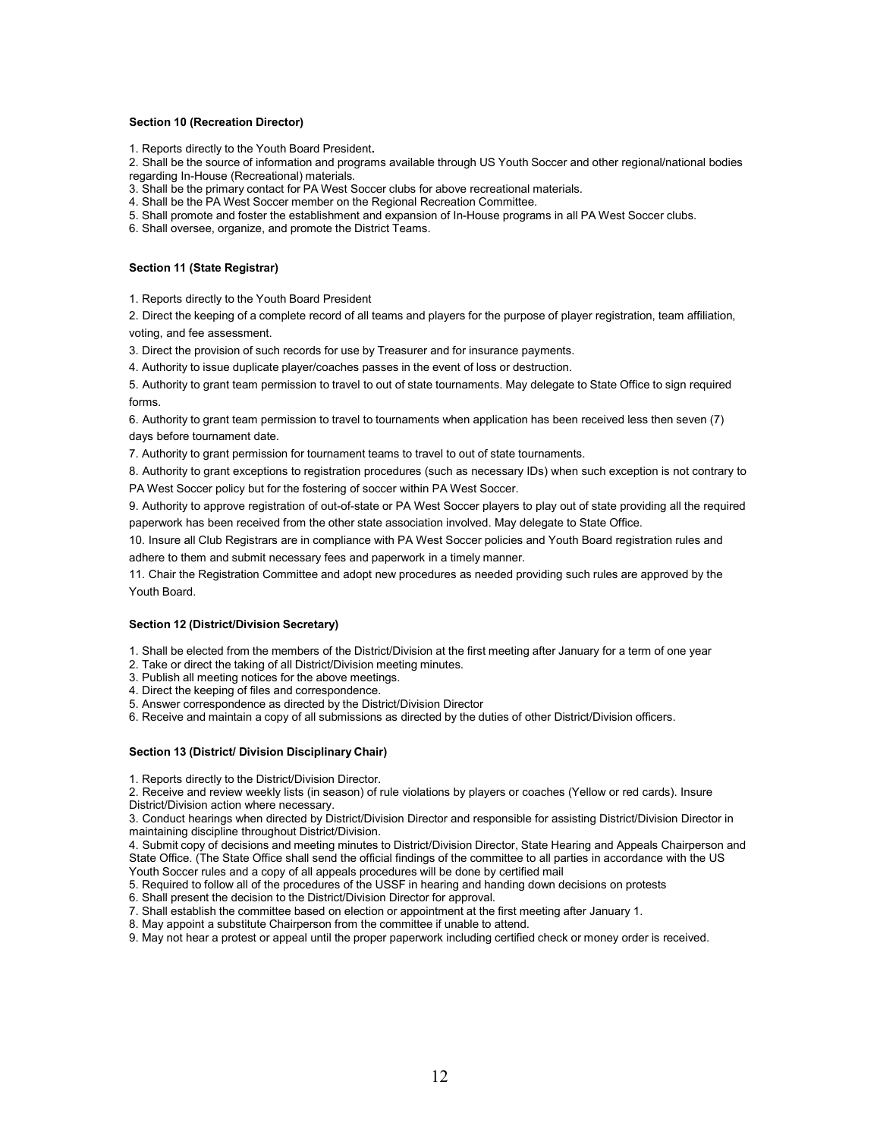#### Section 10 (Recreation Director)

1. Reports directly to the Youth Board President.

2. Shall be the source of information and programs available through US Youth Soccer and other regional/national bodies regarding In-House (Recreational) materials.

3. Shall be the primary contact for PA West Soccer clubs for above recreational materials.

4. Shall be the PA West Soccer member on the Regional Recreation Committee.

5. Shall promote and foster the establishment and expansion of In-House programs in all PA West Soccer clubs.

6. Shall oversee, organize, and promote the District Teams.

## Section 11 (State Registrar)

1. Reports directly to the Youth Board President

2. Direct the keeping of a complete record of all teams and players for the purpose of player registration, team affiliation, voting, and fee assessment.

3. Direct the provision of such records for use by Treasurer and for insurance payments.

4. Authority to issue duplicate player/coaches passes in the event of loss or destruction.

5. Authority to grant team permission to travel to out of state tournaments. May delegate to State Office to sign required forms.

6. Authority to grant team permission to travel to tournaments when application has been received less then seven (7) days before tournament date.

7. Authority to grant permission for tournament teams to travel to out of state tournaments.

8. Authority to grant exceptions to registration procedures (such as necessary IDs) when such exception is not contrary to PA West Soccer policy but for the fostering of soccer within PA West Soccer.

9. Authority to approve registration of out-of-state or PA West Soccer players to play out of state providing all the required paperwork has been received from the other state association involved. May delegate to State Office.

10. Insure all Club Registrars are in compliance with PA West Soccer policies and Youth Board registration rules and adhere to them and submit necessary fees and paperwork in a timely manner.

11. Chair the Registration Committee and adopt new procedures as needed providing such rules are approved by the Youth Board.

## Section 12 (District/Division Secretary)

1. Shall be elected from the members of the District/Division at the first meeting after January for a term of one year

2. Take or direct the taking of all District/Division meeting minutes.

3. Publish all meeting notices for the above meetings.

4. Direct the keeping of files and correspondence.

5. Answer correspondence as directed by the District/Division Director

6. Receive and maintain a copy of all submissions as directed by the duties of other District/Division officers.

## Section 13 (District/ Division Disciplinary Chair)

1. Reports directly to the District/Division Director.

2. Receive and review weekly lists (in season) of rule violations by players or coaches (Yellow or red cards). Insure District/Division action where necessary.

3. Conduct hearings when directed by District/Division Director and responsible for assisting District/Division Director in maintaining discipline throughout District/Division.

4. Submit copy of decisions and meeting minutes to District/Division Director, State Hearing and Appeals Chairperson and State Office. (The State Office shall send the official findings of the committee to all parties in accordance with the US Youth Soccer rules and a copy of all appeals procedures will be done by certified mail

5. Required to follow all of the procedures of the USSF in hearing and handing down decisions on protests

6. Shall present the decision to the District/Division Director for approval.

7. Shall establish the committee based on election or appointment at the first meeting after January 1.

8. May appoint a substitute Chairperson from the committee if unable to attend.

9. May not hear a protest or appeal until the proper paperwork including certified check or money order is received.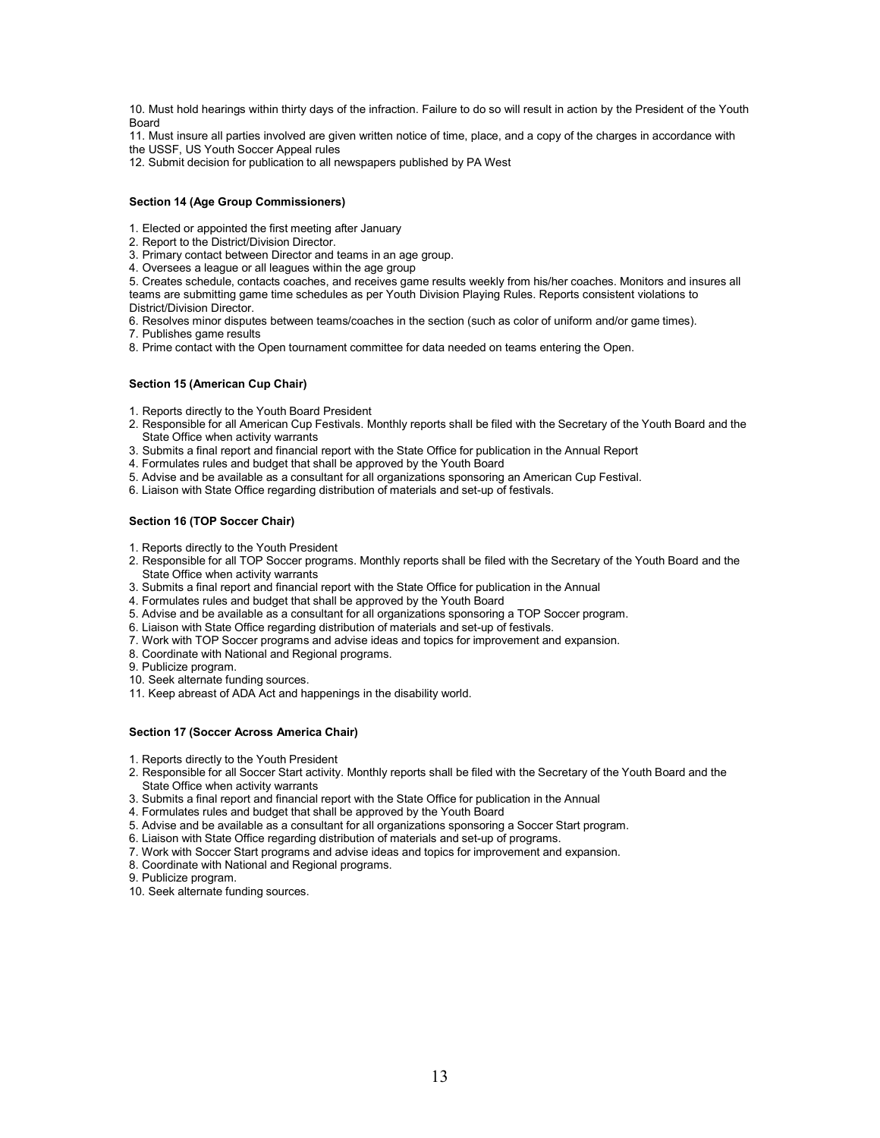10. Must hold hearings within thirty days of the infraction. Failure to do so will result in action by the President of the Youth Board

11. Must insure all parties involved are given written notice of time, place, and a copy of the charges in accordance with

the USSF, US Youth Soccer Appeal rules

12. Submit decision for publication to all newspapers published by PA West

## Section 14 (Age Group Commissioners)

1. Elected or appointed the first meeting after January

2. Report to the District/Division Director.

3. Primary contact between Director and teams in an age group.

4. Oversees a league or all leagues within the age group

5. Creates schedule, contacts coaches, and receives game results weekly from his/her coaches. Monitors and insures all teams are submitting game time schedules as per Youth Division Playing Rules. Reports consistent violations to District/Division Director.

6. Resolves minor disputes between teams/coaches in the section (such as color of uniform and/or game times).

7. Publishes game results

8. Prime contact with the Open tournament committee for data needed on teams entering the Open.

## Section 15 (American Cup Chair)

1. Reports directly to the Youth Board President

- 2. Responsible for all American Cup Festivals. Monthly reports shall be filed with the Secretary of the Youth Board and the State Office when activity warrants
- 3. Submits a final report and financial report with the State Office for publication in the Annual Report
- 4. Formulates rules and budget that shall be approved by the Youth Board
- 5. Advise and be available as a consultant for all organizations sponsoring an American Cup Festival.
- 6. Liaison with State Office regarding distribution of materials and set-up of festivals.

## Section 16 (TOP Soccer Chair)

1. Reports directly to the Youth President

- 2. Responsible for all TOP Soccer programs. Monthly reports shall be filed with the Secretary of the Youth Board and the State Office when activity warrants
- 3. Submits a final report and financial report with the State Office for publication in the Annual
- 4. Formulates rules and budget that shall be approved by the Youth Board
- 5. Advise and be available as a consultant for all organizations sponsoring a TOP Soccer program.
- 6. Liaison with State Office regarding distribution of materials and set-up of festivals.
- 7. Work with TOP Soccer programs and advise ideas and topics for improvement and expansion.
- 8. Coordinate with National and Regional programs.

9. Publicize program.

- 10. Seek alternate funding sources.
- 11. Keep abreast of ADA Act and happenings in the disability world.

## Section 17 (Soccer Across America Chair)

1. Reports directly to the Youth President

- 2. Responsible for all Soccer Start activity. Monthly reports shall be filed with the Secretary of the Youth Board and the State Office when activity warrants
- 3. Submits a final report and financial report with the State Office for publication in the Annual
- 4. Formulates rules and budget that shall be approved by the Youth Board
- 5. Advise and be available as a consultant for all organizations sponsoring a Soccer Start program.
- 6. Liaison with State Office regarding distribution of materials and set-up of programs.
- 7. Work with Soccer Start programs and advise ideas and topics for improvement and expansion.
- 8. Coordinate with National and Regional programs.
- 9. Publicize program.

10. Seek alternate funding sources.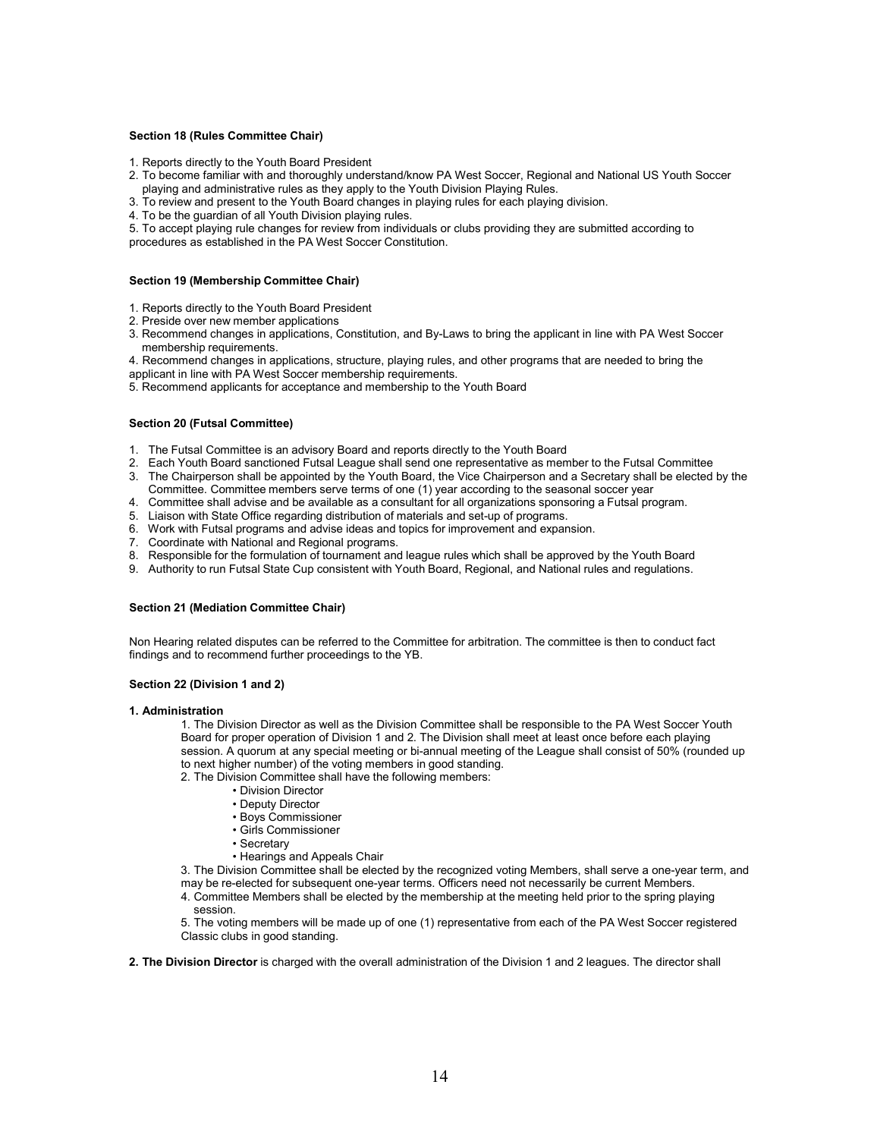#### Section 18 (Rules Committee Chair)

- 1. Reports directly to the Youth Board President
- 2. To become familiar with and thoroughly understand/know PA West Soccer, Regional and National US Youth Soccer playing and administrative rules as they apply to the Youth Division Playing Rules.
- 3. To review and present to the Youth Board changes in playing rules for each playing division.
- 4. To be the guardian of all Youth Division playing rules.
- 5. To accept playing rule changes for review from individuals or clubs providing they are submitted according to procedures as established in the PA West Soccer Constitution.

#### Section 19 (Membership Committee Chair)

- 1. Reports directly to the Youth Board President
- 2. Preside over new member applications
- 3. Recommend changes in applications, Constitution, and By-Laws to bring the applicant in line with PA West Soccer membership requirements.
- 4. Recommend changes in applications, structure, playing rules, and other programs that are needed to bring the
- applicant in line with PA West Soccer membership requirements.
- 5. Recommend applicants for acceptance and membership to the Youth Board

#### Section 20 (Futsal Committee)

- 1. The Futsal Committee is an advisory Board and reports directly to the Youth Board
- 2. Each Youth Board sanctioned Futsal League shall send one representative as member to the Futsal Committee
- 3. The Chairperson shall be appointed by the Youth Board, the Vice Chairperson and a Secretary shall be elected by the Committee. Committee members serve terms of one (1) year according to the seasonal soccer year
- 4. Committee shall advise and be available as a consultant for all organizations sponsoring a Futsal program.
- 5. Liaison with State Office regarding distribution of materials and set-up of programs.
- 6. Work with Futsal programs and advise ideas and topics for improvement and expansion.
- 7. Coordinate with National and Regional programs.
- 8. Responsible for the formulation of tournament and league rules which shall be approved by the Youth Board
- 9. Authority to run Futsal State Cup consistent with Youth Board, Regional, and National rules and regulations.

## Section 21 (Mediation Committee Chair)

Non Hearing related disputes can be referred to the Committee for arbitration. The committee is then to conduct fact findings and to recommend further proceedings to the YB.

## Section 22 (Division 1 and 2)

#### 1. Administration

1. The Division Director as well as the Division Committee shall be responsible to the PA West Soccer Youth Board for proper operation of Division 1 and 2. The Division shall meet at least once before each playing session. A quorum at any special meeting or bi-annual meeting of the League shall consist of 50% (rounded up to next higher number) of the voting members in good standing.

- 2. The Division Committee shall have the following members:
	- Division Director
	- Deputy Director
	- Boys Commissioner
	- Girls Commissioner
	- Secretary
	- Hearings and Appeals Chair

3. The Division Committee shall be elected by the recognized voting Members, shall serve a one-year term, and may be re-elected for subsequent one-year terms. Officers need not necessarily be current Members.

4. Committee Members shall be elected by the membership at the meeting held prior to the spring playing session.

5. The voting members will be made up of one (1) representative from each of the PA West Soccer registered Classic clubs in good standing.

2. The Division Director is charged with the overall administration of the Division 1 and 2 leagues. The director shall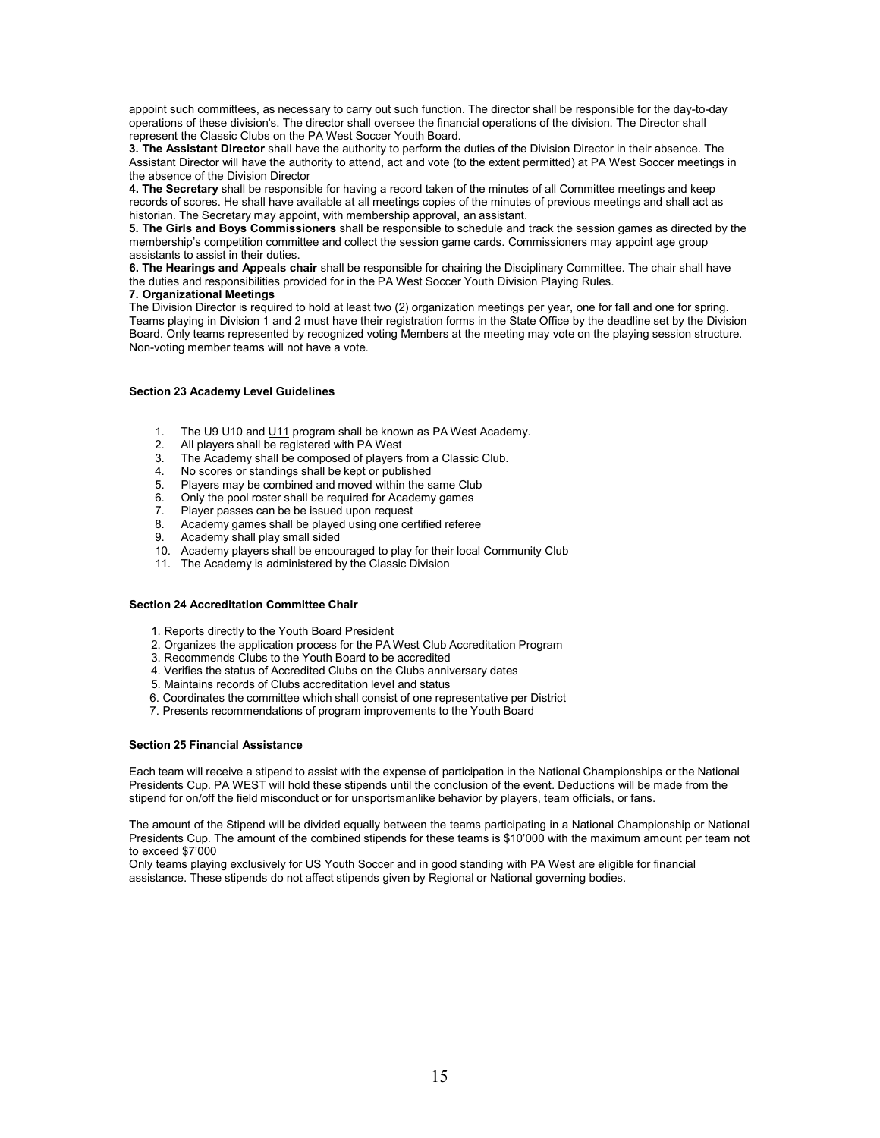appoint such committees, as necessary to carry out such function. The director shall be responsible for the day-to-day operations of these division's. The director shall oversee the financial operations of the division. The Director shall represent the Classic Clubs on the PA West Soccer Youth Board.

3. The Assistant Director shall have the authority to perform the duties of the Division Director in their absence. The Assistant Director will have the authority to attend, act and vote (to the extent permitted) at PA West Soccer meetings in the absence of the Division Director

4. The Secretary shall be responsible for having a record taken of the minutes of all Committee meetings and keep records of scores. He shall have available at all meetings copies of the minutes of previous meetings and shall act as historian. The Secretary may appoint, with membership approval, an assistant.

5. The Girls and Boys Commissioners shall be responsible to schedule and track the session games as directed by the membership's competition committee and collect the session game cards. Commissioners may appoint age group assistants to assist in their duties.

6. The Hearings and Appeals chair shall be responsible for chairing the Disciplinary Committee. The chair shall have the duties and responsibilities provided for in the PA West Soccer Youth Division Playing Rules.

#### 7. Organizational Meetings

The Division Director is required to hold at least two (2) organization meetings per year, one for fall and one for spring. Teams playing in Division 1 and 2 must have their registration forms in the State Office by the deadline set by the Division Board. Only teams represented by recognized voting Members at the meeting may vote on the playing session structure. Non-voting member teams will not have a vote.

## Section 23 Academy Level Guidelines

- 1. The U9 U10 and U11 program shall be known as PA West Academy.
- 2. All players shall be registered with PA West
- 3. The Academy shall be composed of players from a Classic Club.
- 4. No scores or standings shall be kept or published<br>5. Players may be combined and moved within the site
- Players may be combined and moved within the same Club
- 6. Only the pool roster shall be required for Academy games
- 7. Player passes can be be issued upon request
- 8. Academy games shall be played using one certified referee
- 9. Academy shall play small sided
- 10. Academy players shall be encouraged to play for their local Community Club
- 11. The Academy is administered by the Classic Division

#### Section 24 Accreditation Committee Chair

- 1. Reports directly to the Youth Board President
- 2. Organizes the application process for the PA West Club Accreditation Program
- 3. Recommends Clubs to the Youth Board to be accredited
- 4. Verifies the status of Accredited Clubs on the Clubs anniversary dates
- 5. Maintains records of Clubs accreditation level and status
- 6. Coordinates the committee which shall consist of one representative per District
- 7. Presents recommendations of program improvements to the Youth Board

## Section 25 Financial Assistance

Each team will receive a stipend to assist with the expense of participation in the National Championships or the National Presidents Cup. PA WEST will hold these stipends until the conclusion of the event. Deductions will be made from the stipend for on/off the field misconduct or for unsportsmanlike behavior by players, team officials, or fans.

The amount of the Stipend will be divided equally between the teams participating in a National Championship or National Presidents Cup. The amount of the combined stipends for these teams is \$10'000 with the maximum amount per team not to exceed \$7'000

Only teams playing exclusively for US Youth Soccer and in good standing with PA West are eligible for financial assistance. These stipends do not affect stipends given by Regional or National governing bodies.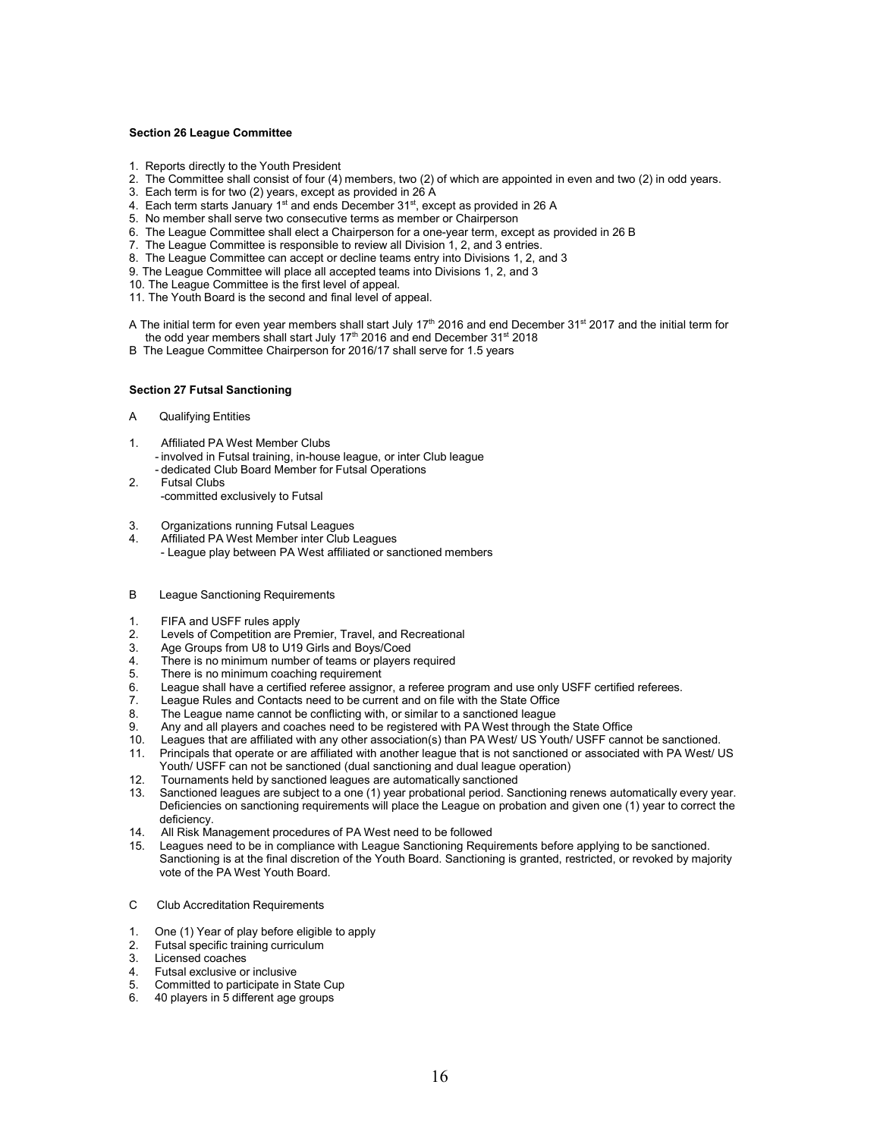#### Section 26 League Committee

- 1. Reports directly to the Youth President
- 2. The Committee shall consist of four (4) members, two (2) of which are appointed in even and two (2) in odd years.
- 3. Each term is for two (2) years, except as provided in 26 A
- 4. Each term starts January 1<sup>st</sup> and ends December  $31<sup>st</sup>$ , except as provided in 26 A
- 5. No member shall serve two consecutive terms as member or Chairperson
- 6. The League Committee shall elect a Chairperson for a one-year term, except as provided in 26 B
- 7. The League Committee is responsible to review all Division 1, 2, and 3 entries.
- 8. The League Committee can accept or decline teams entry into Divisions 1, 2, and 3
- 9. The League Committee will place all accepted teams into Divisions 1, 2, and 3
- 10. The League Committee is the first level of appeal.
- 11. The Youth Board is the second and final level of appeal.

A The initial term for even year members shall start July 17<sup>th</sup> 2016 and end December 31<sup>st</sup> 2017 and the initial term for the odd year members shall start July 17<sup>th</sup> 2016 and end December  $31^{st}$  2018

B The League Committee Chairperson for 2016/17 shall serve for 1.5 years

#### Section 27 Futsal Sanctioning

- A Qualifying Entities
- 1. Affiliated PA West Member Clubs
	- involved in Futsal training, in-house league, or inter Club league - dedicated Club Board Member for Futsal Operations
- 2. Futsal Clubs
	- -committed exclusively to Futsal
- 3. Organizations running Futsal Leagues
- 4. Affiliated PA West Member inter Club Leagues - League play between PA West affiliated or sanctioned members
- B League Sanctioning Requirements
- 1. FIFA and USFF rules apply
- 2. Levels of Competition are Premier, Travel, and Recreational
- 3. Age Groups from U8 to U19 Girls and Boys/Coed
- 4. There is no minimum number of teams or players required
- 5. There is no minimum coaching requirement<br>6. League shall have a certified referee assigne
- League shall have a certified referee assignor, a referee program and use only USFF certified referees.
- 7. League Rules and Contacts need to be current and on file with the State Office
- 8. The League name cannot be conflicting with, or similar to a sanctioned league<br>9. Any and all players and coaches need to be registered with PA West through the
- Any and all players and coaches need to be registered with PA West through the State Office
- 10. Leagues that are affiliated with any other association(s) than PA West/ US Youth/ USFF cannot be sanctioned.
- 11. Principals that operate or are affiliated with another league that is not sanctioned or associated with PA West/ US Youth/ USFF can not be sanctioned (dual sanctioning and dual league operation)
- 12. Tournaments held by sanctioned leagues are automatically sanctioned
- 13. Sanctioned leagues are subject to a one (1) year probational period. Sanctioning renews automatically every year. Deficiencies on sanctioning requirements will place the League on probation and given one (1) year to correct the deficiency.
- 14. All Risk Management procedures of PA West need to be followed
- 15. Leagues need to be in compliance with League Sanctioning Requirements before applying to be sanctioned. Sanctioning is at the final discretion of the Youth Board. Sanctioning is granted, restricted, or revoked by majority vote of the PA West Youth Board.
- C Club Accreditation Requirements
- 1. One (1) Year of play before eligible to apply
- 2. Futsal specific training curriculum
- 3. Licensed coaches
- 4. Futsal exclusive or inclusive
- 5. Committed to participate in State Cup
- 6. 40 players in 5 different age groups